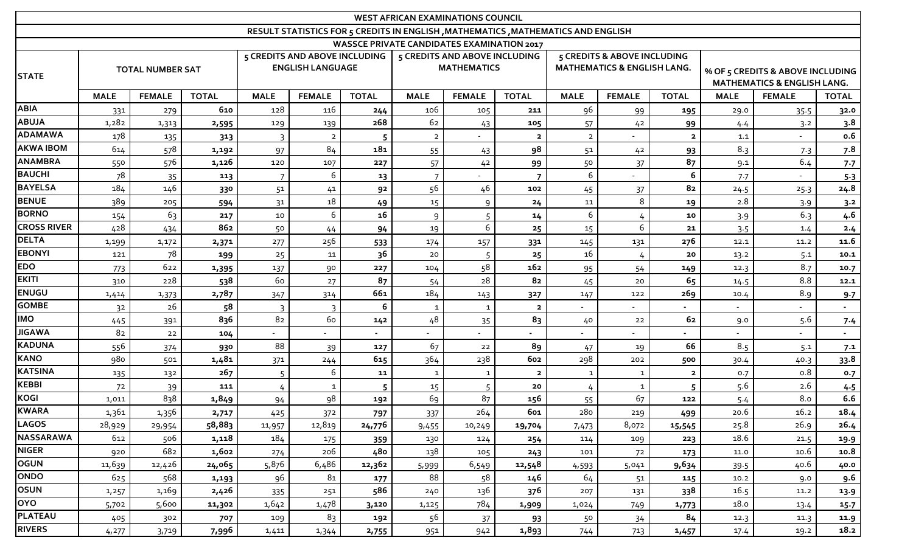| <b>WEST AFRICAN EXAMINATIONS COUNCIL</b>                                           |                         |               |              |                                                          |                |                |                                                     |               |                         |                                                                       |               |                |                                                                            |               |              |
|------------------------------------------------------------------------------------|-------------------------|---------------|--------------|----------------------------------------------------------|----------------|----------------|-----------------------------------------------------|---------------|-------------------------|-----------------------------------------------------------------------|---------------|----------------|----------------------------------------------------------------------------|---------------|--------------|
| RESULT STATISTICS FOR 5 CREDITS IN ENGLISH , MATHEMATICS , MATHEMATICS AND ENGLISH |                         |               |              |                                                          |                |                |                                                     |               |                         |                                                                       |               |                |                                                                            |               |              |
| <b>WASSCE PRIVATE CANDIDATES EXAMINATION 2017</b>                                  |                         |               |              |                                                          |                |                |                                                     |               |                         |                                                                       |               |                |                                                                            |               |              |
| <b>STATE</b>                                                                       | <b>TOTAL NUMBER SAT</b> |               |              | 5 CREDITS AND ABOVE INCLUDING<br><b>ENGLISH LANGUAGE</b> |                |                | 5 CREDITS AND ABOVE INCLUDING<br><b>MATHEMATICS</b> |               |                         | 5 CREDITS & ABOVE INCLUDING<br><b>MATHEMATICS &amp; ENGLISH LANG.</b> |               |                | % OF 5 CREDITS & ABOVE INCLUDING<br><b>MATHEMATICS &amp; ENGLISH LANG.</b> |               |              |
|                                                                                    | <b>MALE</b>             | <b>FEMALE</b> | <b>TOTAL</b> | <b>MALE</b>                                              | <b>FEMALE</b>  | <b>TOTAL</b>   | <b>MALE</b>                                         | <b>FEMALE</b> | <b>TOTAL</b>            | <b>MALE</b>                                                           | <b>FEMALE</b> | <b>TOTAL</b>   | <b>MALE</b>                                                                | <b>FEMALE</b> | <b>TOTAL</b> |
| <b>ABIA</b>                                                                        | 331                     | 279           | 610          | 128                                                      | 116            | 244            | 106                                                 | 105           | 211                     | 96                                                                    | 99            | 195            | 29.0                                                                       | 35.5          | 32.0         |
| <b>ABUJA</b>                                                                       | 1,282                   | 1,313         | 2,595        | 129                                                      | 139            | 268            | 62                                                  | 43            | 105                     | 57                                                                    | 42            | 99             | 4.4                                                                        | 3.2           | 3.8          |
| <b>ADAMAWA</b>                                                                     | 178                     | 135           | 313          | $\overline{\mathbf{3}}$                                  | $\overline{2}$ | 5              | $\overline{2}$                                      |               | $\overline{2}$          | $\overline{2}$                                                        |               | $\overline{2}$ | 1.1                                                                        |               | 0.6          |
| <b>AKWA IBOM</b>                                                                   | 614                     | 578           | 1,192        | 97                                                       | 84             | 181            | 55                                                  | 43            | 98                      | 51                                                                    | 42            | 93             | 8.3                                                                        | 7.3           | 7.8          |
| <b>ANAMBRA</b>                                                                     | 550                     | 576           | 1,126        | 120                                                      | 107            | 227            | 57                                                  | 42            | 99                      | 50                                                                    | 37            | 87             | 9.1                                                                        | 6.4           | 7.7          |
| <b>BAUCHI</b>                                                                      | 78                      | 35            | 113          | $\overline{7}$                                           | 6              | 13             |                                                     |               | $\overline{7}$          | 6                                                                     |               | 6              | 7.7                                                                        |               | $5-3$        |
| <b>BAYELSA</b>                                                                     | 184                     | 146           | 330          | 51                                                       | 41             | 92             | 56                                                  | 46            | 102                     | 45                                                                    | 37            | 82             | 24.5                                                                       | 25.3          | 24.8         |
| <b>BENUE</b>                                                                       | 389                     | 205           | 594          | 3 <sup>1</sup>                                           | 18             | 49             | 15                                                  | 9             | 24                      | 11                                                                    | 8             | 19             | 2.8                                                                        | 3.9           | 3.2          |
| <b>BORNO</b>                                                                       | 154                     | 63            | 217          | $10\,$                                                   | 6              | 16             | $\mathsf{q}$                                        |               | 14                      | 6                                                                     |               | 10             | 3.9                                                                        | 6.3           | 4.6          |
| <b>CROSS RIVER</b>                                                                 | 428                     | 434           | 862          | 50                                                       | 44             | 94             | 19                                                  | 6             | 25                      | 15                                                                    | 6             | 21             | 3.5                                                                        | 1.4           | 2.4          |
| <b>DELTA</b>                                                                       | 1,199                   | 1,172         | 2,371        | 277                                                      | 256            | 533            | 174                                                 | 157           | 331                     | 145                                                                   | 131           | 276            | 12.1                                                                       | 11.2          | 11.6         |
| <b>EBONYI</b>                                                                      | 121                     | 78            | 199          | 25                                                       | 11             | 36             | 20                                                  | 5             | 25                      | 16                                                                    | 4             | 20             | 13.2                                                                       | 5.1           | 10.1         |
| <b>EDO</b>                                                                         | 773                     | 622           | 1,395        | 137                                                      | 90             | 227            | 104                                                 | 58            | 162                     | 95                                                                    | 54            | 149            | 12.3                                                                       | 8.7           | 10.7         |
| <b>EKITI</b>                                                                       | 310                     | 228           | 538          | 60                                                       | 27             | 8 <sub>7</sub> | 54                                                  | 28            | 82                      | 45                                                                    | 20            | 65             | 14.5                                                                       | 8.8           | 12.1         |
| <b>ENUGU</b>                                                                       | 1,414                   | 1,373         | 2,787        | 347                                                      | 314            | 661            | 184                                                 | 143           | 327                     | 147                                                                   | 122           | 269            | 10.4                                                                       | 8.9           | 9.7          |
| <b>GOMBE</b>                                                                       | 3 <sup>2</sup>          | 26            | 58           | $\overline{\mathbf{3}}$                                  | 3              | 6              | $\mathbf{1}$                                        | $\mathbf{1}$  | $\overline{\mathbf{2}}$ |                                                                       |               |                |                                                                            |               |              |
| <b>IMO</b>                                                                         | 445                     | 391           | 836          | 8 <sub>2</sub>                                           | 60             | 142            | 48                                                  | 35            | 83                      | 40                                                                    | 22            | 62             | 9.0                                                                        | 5.6           | 7.4          |
| <b>JIGAWA</b>                                                                      | 82                      | 22            | 104          |                                                          |                |                |                                                     |               |                         | $\sim$                                                                |               |                |                                                                            |               | $\sim$       |
| <b>KADUNA</b>                                                                      | 556                     | 374           | 930          | 88                                                       | 39             | 127            | 67                                                  | 22            | 89                      | 47                                                                    | 19            | 66             | 8.5                                                                        | 5.1           | 7.1          |
| <b>KANO</b>                                                                        | 980                     | 501           | 1,481        | 371                                                      | 244            | 615            | 364                                                 | 238           | 602                     | 298                                                                   | 202           | 500            | 30.4                                                                       | 40.3          | 33.8         |
| <b>KATSINA</b>                                                                     | 135                     | 132           | 267          | 5                                                        | 6              | 11             | $\mathbf{1}$                                        | $\mathbf{1}$  | $\overline{\mathbf{2}}$ | $\mathbf{1}$                                                          | $\mathbf{1}$  | $\overline{2}$ | 0.7                                                                        | 0.8           | 0.7          |
| <b>KEBBI</b>                                                                       | 72                      | 39            | 111          | 4                                                        | $\mathbf{1}$   | 5              | 15                                                  | 5             | 20                      | 4                                                                     | $\mathbf{1}$  | 5              | 5.6                                                                        | 2.6           | 4.5          |
| <b>KOGI</b>                                                                        | 1,011                   | 838           | 1,849        | 94                                                       | 98             | 192            | 69                                                  | 87            | 156                     | 55                                                                    | 67            | 122            | 5.4                                                                        | 8.0           | 6.6          |
| <b>KWARA</b>                                                                       | 1,361                   | 1,356         | 2,717        | 425                                                      | 372            | 797            | 337                                                 | 264           | 601                     | 280                                                                   | 219           | 499            | 20.6                                                                       | 16.2          | 18.4         |
| <b>LAGOS</b>                                                                       | 28,929                  | 29,954        | 58,883       | 11,957                                                   | 12,819         | 24,776         | 9,455                                               | 10,249        | 19,704                  | 7,473                                                                 | 8,072         | 15,545         | 25.8                                                                       | 26.9          | 26.4         |
| NASSARAWA                                                                          | 612                     | 506           | 1,118        | 184                                                      | 175            | 359            | 130                                                 | 124           | 254                     | 114                                                                   | 109           | 223            | 18.6                                                                       | 21.5          | 19.9         |
| <b>NIGER</b>                                                                       | 920                     | 682           | 1,602        | 274                                                      | 206            | 480            | 138                                                 | 105           | 243                     | 101                                                                   | 72            | 173            | 11.0                                                                       | 10.6          | 10.8         |
| OGUN                                                                               | 11,639                  | 12,426        | 24,065       | 5,876                                                    | 6,486          | 12,362         | 5,999                                               | 6,549         | 12,548                  | 4,593                                                                 | 5,041         | 9,634          | 39.5                                                                       | 40.6          | 40.0         |
| ONDO                                                                               | 625                     | 568           | 1,193        | 96                                                       | 81             | 177            | 88                                                  | 58            | 146                     | 64                                                                    | 51            | 115            | 10.2                                                                       | 9.0           | 9.6          |
| OSUN                                                                               | 1,257                   | 1,169         | 2,426        | 335                                                      | 251            | 586            | 240                                                 | 136           | 376                     | 207                                                                   | 131           | 338            | 16.5                                                                       | 11.2          | 13.9         |
| <b>OYO</b>                                                                         | 5,702                   | 5,600         | 11,302       | 1,642                                                    | 1,478          | 3,120          | 1,125                                               | 784           | 1,909                   | 1,024                                                                 | 749           | 1,773          | 18.0                                                                       | 13.4          | 15.7         |
| PLATEAU                                                                            | 405                     | 302           | 707          | 109                                                      | 83             | 192            | 56                                                  | 37            | 93                      | 50                                                                    | 34            | 84             | 12.3                                                                       | 11.3          | 11.9         |
| <b>RIVERS</b>                                                                      | 4,277                   | 3,719         | 7,996        | 1,411                                                    | 1,344          | 2,755          | 951                                                 | 942           | 1,893                   | 744                                                                   | 713           | 1,457          | 17.4                                                                       | 19.2          | 18.2         |